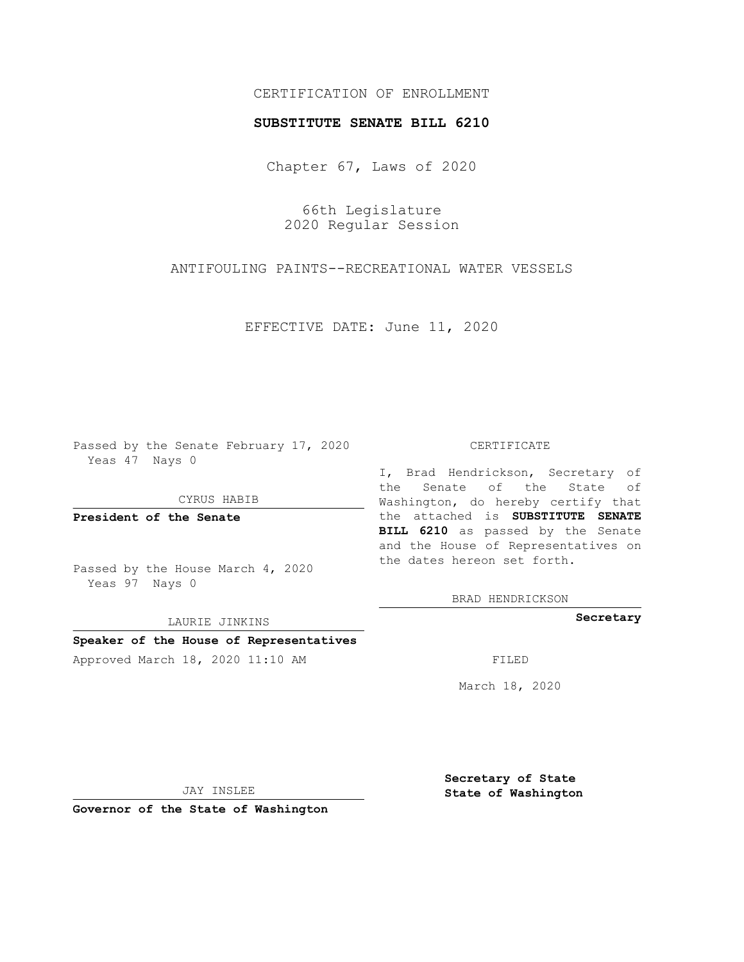# CERTIFICATION OF ENROLLMENT

#### **SUBSTITUTE SENATE BILL 6210**

Chapter 67, Laws of 2020

66th Legislature 2020 Regular Session

ANTIFOULING PAINTS--RECREATIONAL WATER VESSELS

EFFECTIVE DATE: June 11, 2020

Passed by the Senate February 17, 2020 Yeas 47 Nays 0

CYRUS HABIB

**President of the Senate**

Passed by the House March 4, 2020 Yeas 97 Nays 0

LAURIE JINKINS

# **Speaker of the House of Representatives**

Approved March 18, 2020 11:10 AM FILED

#### CERTIFICATE

I, Brad Hendrickson, Secretary of the Senate of the State of Washington, do hereby certify that the attached is **SUBSTITUTE SENATE BILL 6210** as passed by the Senate and the House of Representatives on the dates hereon set forth.

BRAD HENDRICKSON

**Secretary**

March 18, 2020

JAY INSLEE

**Governor of the State of Washington**

**Secretary of State State of Washington**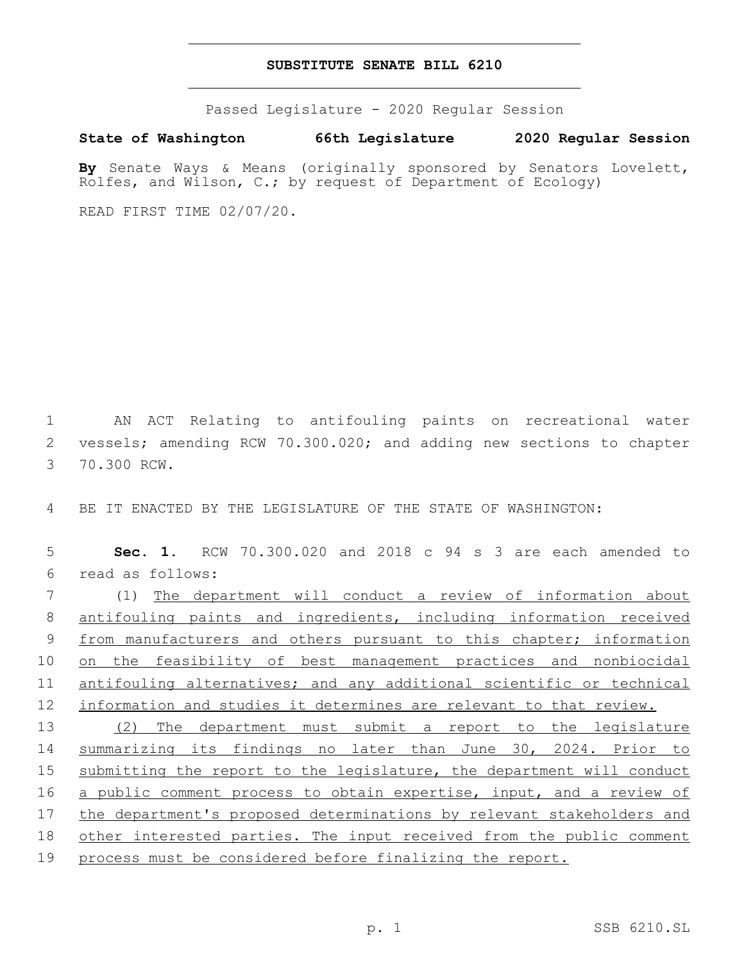### **SUBSTITUTE SENATE BILL 6210**

Passed Legislature - 2020 Regular Session

**State of Washington 66th Legislature 2020 Regular Session**

**By** Senate Ways & Means (originally sponsored by Senators Lovelett, Rolfes, and Wilson, C.; by request of Department of Ecology)

READ FIRST TIME 02/07/20.

1 AN ACT Relating to antifouling paints on recreational water 2 vessels; amending RCW 70.300.020; and adding new sections to chapter 3 70.300 RCW.

4 BE IT ENACTED BY THE LEGISLATURE OF THE STATE OF WASHINGTON:

5 **Sec. 1.** RCW 70.300.020 and 2018 c 94 s 3 are each amended to read as follows:6

7 (1) The department will conduct a review of information about 8 antifouling paints and ingredients, including information received 9 from manufacturers and others pursuant to this chapter; information 10 on the feasibility of best management practices and nonbiocidal 11 antifouling alternatives; and any additional scientific or technical 12 information and studies it determines are relevant to that review.

 (2) The department must submit a report to the legislature summarizing its findings no later than June 30, 2024. Prior to submitting the report to the legislature, the department will conduct a public comment process to obtain expertise, input, and a review of 17 the department's proposed determinations by relevant stakeholders and other interested parties. The input received from the public comment process must be considered before finalizing the report.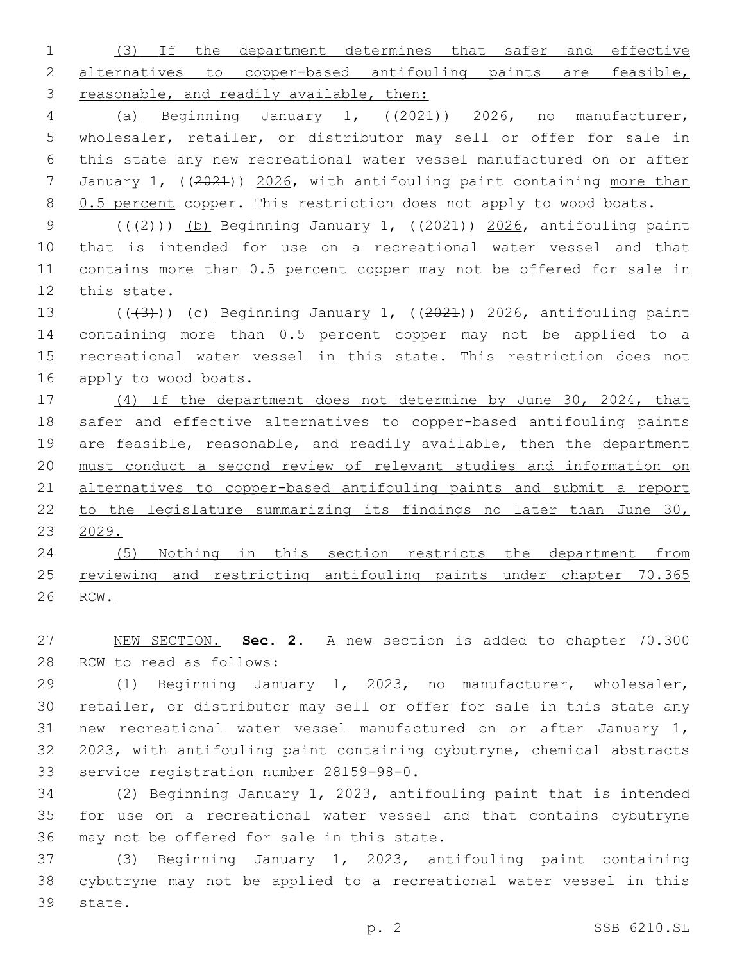(3) If the department determines that safer and effective alternatives to copper-based antifouling paints are feasible, 3 reasonable, and readily available, then:

 (a) Beginning January 1, ((2021)) 2026, no manufacturer, wholesaler, retailer, or distributor may sell or offer for sale in this state any new recreational water vessel manufactured on or after January 1, ((2021)) 2026, with antifouling paint containing more than 8 0.5 percent copper. This restriction does not apply to wood boats.

 $((+2))$  (b) Beginning January 1,  $((2021))$  2026, antifouling paint that is intended for use on a recreational water vessel and that contains more than 0.5 percent copper may not be offered for sale in 12 this state.

13 ( $(\overline{3})$ ) (c) Beginning January 1, ( $(\overline{2024})$ ) 2026, antifouling paint containing more than 0.5 percent copper may not be applied to a recreational water vessel in this state. This restriction does not 16 apply to wood boats.

 (4) If the department does not determine by June 30, 2024, that safer and effective alternatives to copper-based antifouling paints 19 are feasible, reasonable, and readily available, then the department must conduct a second review of relevant studies and information on alternatives to copper-based antifouling paints and submit a report to the legislature summarizing its findings no later than June 30, 2029.

 (5) Nothing in this section restricts the department from 25 reviewing and restricting antifouling paints under chapter 70.365 RCW.

 NEW SECTION. **Sec. 2.** A new section is added to chapter 70.300 28 RCW to read as follows:

 (1) Beginning January 1, 2023, no manufacturer, wholesaler, retailer, or distributor may sell or offer for sale in this state any new recreational water vessel manufactured on or after January 1, 2023, with antifouling paint containing cybutryne, chemical abstracts 33 service registration number 28159-98-0.

 (2) Beginning January 1, 2023, antifouling paint that is intended for use on a recreational water vessel and that contains cybutryne 36 may not be offered for sale in this state.

 (3) Beginning January 1, 2023, antifouling paint containing cybutryne may not be applied to a recreational water vessel in this 39 state.